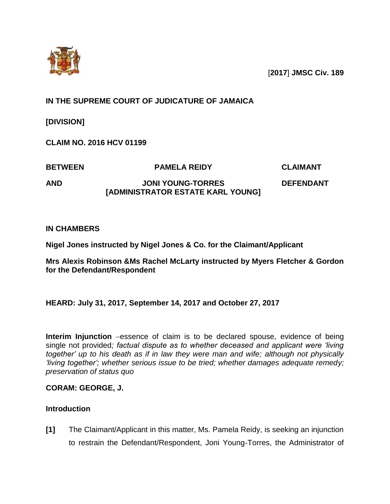

[**2017**] **JMSC Civ. 189**

# **IN THE SUPREME COURT OF JUDICATURE OF JAMAICA**

**[DIVISION]** 

**CLAIM NO. 2016 HCV 01199**

**BETWEEN PAMELA REIDY CLAIMANT**

**AND JONI YOUNG-TORRES [ADMINISTRATOR ESTATE KARL YOUNG]**

**DEFENDANT**

# **IN CHAMBERS**

**Nigel Jones instructed by Nigel Jones & Co. for the Claimant/Applicant**

**Mrs Alexis Robinson &Ms Rachel McLarty instructed by Myers Fletcher & Gordon for the Defendant/Respondent**

# **HEARD: July 31, 2017, September 14, 2017 and October 27, 2017**

**Interim Injunction** –essence of claim is to be declared spouse, evidence of being single not provided*; factual dispute as to whether deceased and applicant were 'living together' up to his death as if in law they were man and wife; although not physically 'living together'; whether serious issue to be tried; whether damages adequate remedy; preservation of status quo*

# **CORAM: GEORGE, J.**

# **Introduction**

**[1]** The Claimant/Applicant in this matter, Ms. Pamela Reidy, is seeking an injunction to restrain the Defendant/Respondent, Joni Young-Torres, the Administrator of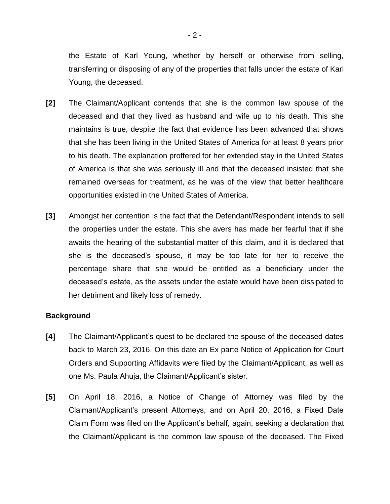the Estate of Karl Young, whether by herself or otherwise from selling, transferring or disposing of any of the properties that falls under the estate of Karl Young, the deceased.

- **[2]** The Claimant/Applicant contends that she is the common law spouse of the deceased and that they lived as husband and wife up to his death. This she maintains is true, despite the fact that evidence has been advanced that shows that she has been living in the United States of America for at least 8 years prior to his death. The explanation proffered for her extended stay in the United States of America is that she was seriously ill and that the deceased insisted that she remained overseas for treatment, as he was of the view that better healthcare opportunities existed in the United States of America.
- **[3]** Amongst her contention is the fact that the Defendant/Respondent intends to sell the properties under the estate. This she avers has made her fearful that if she awaits the hearing of the substantial matter of this claim, and it is declared that she is the deceased's spouse, it may be too late for her to receive the percentage share that she would be entitled as a beneficiary under the deceased's estate, as the assets under the estate would have been dissipated to her detriment and likely loss of remedy.

### **Background**

- **[4]** The Claimant/Applicant's quest to be declared the spouse of the deceased dates back to March 23, 2016. On this date an Ex parte Notice of Application for Court Orders and Supporting Affidavits were filed by the Claimant/Applicant, as well as one Ms. Paula Ahuja, the Claimant/Applicant's sister.
- **[5]** On April 18, 2016, a Notice of Change of Attorney was filed by the Claimant/Applicant's present Attorneys, and on April 20, 2016, a Fixed Date Claim Form was filed on the Applicant's behalf, again, seeking a declaration that the Claimant/Applicant is the common law spouse of the deceased. The Fixed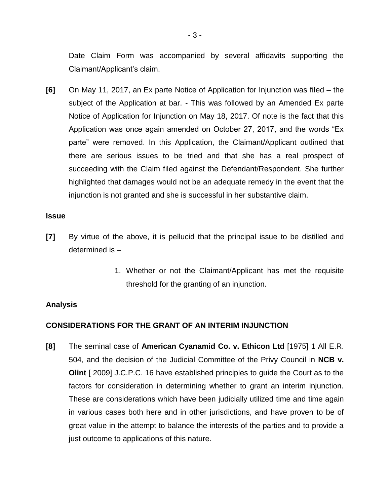Date Claim Form was accompanied by several affidavits supporting the Claimant/Applicant's claim.

**[6]** On May 11, 2017, an Ex parte Notice of Application for Injunction was filed – the subject of the Application at bar. - This was followed by an Amended Ex parte Notice of Application for Injunction on May 18, 2017. Of note is the fact that this Application was once again amended on October 27, 2017, and the words "Ex parte" were removed. In this Application, the Claimant/Applicant outlined that there are serious issues to be tried and that she has a real prospect of succeeding with the Claim filed against the Defendant/Respondent. She further highlighted that damages would not be an adequate remedy in the event that the injunction is not granted and she is successful in her substantive claim.

#### **Issue**

- **[7]** By virtue of the above, it is pellucid that the principal issue to be distilled and determined is –
	- 1. Whether or not the Claimant/Applicant has met the requisite threshold for the granting of an injunction.

### **Analysis**

## **CONSIDERATIONS FOR THE GRANT OF AN INTERIM INJUNCTION**

**[8]** The seminal case of **American Cyanamid Co. v. Ethicon Ltd** [1975] 1 All E.R. 504, and the decision of the Judicial Committee of the Privy Council in **NCB v. Olint** [ 2009] J.C.P.C. 16 have established principles to guide the Court as to the factors for consideration in determining whether to grant an interim injunction. These are considerations which have been judicially utilized time and time again in various cases both here and in other jurisdictions, and have proven to be of great value in the attempt to balance the interests of the parties and to provide a just outcome to applications of this nature.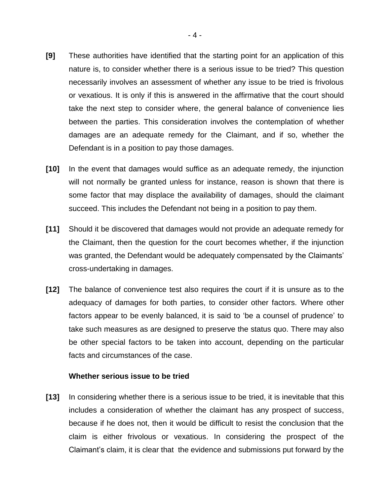- **[9]** These authorities have identified that the starting point for an application of this nature is, to consider whether there is a serious issue to be tried? This question necessarily involves an assessment of whether any issue to be tried is frivolous or vexatious. It is only if this is answered in the affirmative that the court should take the next step to consider where, the general balance of convenience lies between the parties. This consideration involves the contemplation of whether damages are an adequate remedy for the Claimant, and if so, whether the Defendant is in a position to pay those damages.
- **[10]** In the event that damages would suffice as an adequate remedy, the injunction will not normally be granted unless for instance, reason is shown that there is some factor that may displace the availability of damages, should the claimant succeed. This includes the Defendant not being in a position to pay them.
- **[11]** Should it be discovered that damages would not provide an adequate remedy for the Claimant, then the question for the court becomes whether, if the injunction was granted, the Defendant would be adequately compensated by the Claimants' cross-undertaking in damages.
- **[12]** The balance of convenience test also requires the court if it is unsure as to the adequacy of damages for both parties, to consider other factors. Where other factors appear to be evenly balanced, it is said to 'be a counsel of prudence' to take such measures as are designed to preserve the status quo. There may also be other special factors to be taken into account, depending on the particular facts and circumstances of the case.

#### **Whether serious issue to be tried**

**[13]** In considering whether there is a serious issue to be tried, it is inevitable that this includes a consideration of whether the claimant has any prospect of success, because if he does not, then it would be difficult to resist the conclusion that the claim is either frivolous or vexatious. In considering the prospect of the Claimant's claim, it is clear that the evidence and submissions put forward by the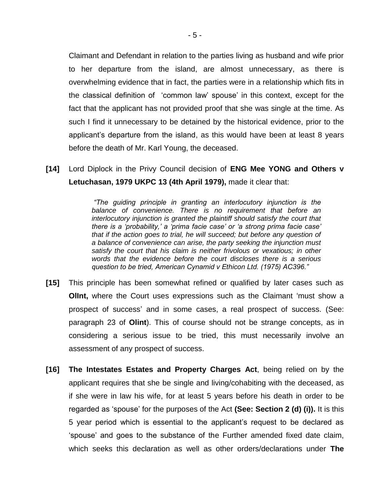Claimant and Defendant in relation to the parties living as husband and wife prior to her departure from the island, are almost unnecessary, as there is overwhelming evidence that in fact, the parties were in a relationship which fits in the classical definition of 'common law' spouse' in this context, except for the fact that the applicant has not provided proof that she was single at the time. As such I find it unnecessary to be detained by the historical evidence, prior to the applicant's departure from the island, as this would have been at least 8 years before the death of Mr. Karl Young, the deceased.

**[14]** Lord Diplock in the Privy Council decision of **ENG Mee YONG and Others v Letuchasan, 1979 UKPC 13 (4th April 1979),** made it clear that:

> *"The guiding principle in granting an interlocutory injunction is the balance of convenience. There is no requirement that before an interlocutory injunction is granted the plaintiff should satisfy the court that there is a 'probability,' a 'prima facie case' or 'a strong prima facie case' that if the action goes to trial, he will succeed; but before any question of a balance of convenience can arise, the party seeking the injunction must satisfy the court that his claim is neither frivolous or vexatious; in other words that the evidence before the court discloses there is a serious question to be tried, American Cynamid v Ethicon Ltd. (1975) AC396."*

- **[15]** This principle has been somewhat refined or qualified by later cases such as **OlInt,** where the Court uses expressions such as the Claimant 'must show a prospect of success' and in some cases, a real prospect of success. (See: paragraph 23 of **Olint**). This of course should not be strange concepts, as in considering a serious issue to be tried, this must necessarily involve an assessment of any prospect of success.
- **[16] The Intestates Estates and Property Charges Act**, being relied on by the applicant requires that she be single and living/cohabiting with the deceased, as if she were in law his wife, for at least 5 years before his death in order to be regarded as 'spouse' for the purposes of the Act **(See: Section 2 (d) (i)).** It is this 5 year period which is essential to the applicant's request to be declared as 'spouse' and goes to the substance of the Further amended fixed date claim, which seeks this declaration as well as other orders/declarations under **The**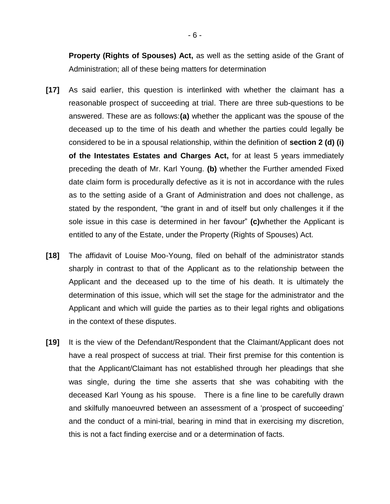**Property (Rights of Spouses) Act,** as well as the setting aside of the Grant of Administration; all of these being matters for determination

- **[17]** As said earlier, this question is interlinked with whether the claimant has a reasonable prospect of succeeding at trial. There are three sub-questions to be answered. These are as follows:**(a)** whether the applicant was the spouse of the deceased up to the time of his death and whether the parties could legally be considered to be in a spousal relationship, within the definition of **section 2 (d) (i) of the Intestates Estates and Charges Act,** for at least 5 years immediately preceding the death of Mr. Karl Young. **(b)** whether the Further amended Fixed date claim form is procedurally defective as it is not in accordance with the rules as to the setting aside of a Grant of Administration and does not challenge, as stated by the respondent, "the grant in and of itself but only challenges it if the sole issue in this case is determined in her favour" **(c)**whether the Applicant is entitled to any of the Estate, under the Property (Rights of Spouses) Act.
- **[18]** The affidavit of Louise Moo-Young, filed on behalf of the administrator stands sharply in contrast to that of the Applicant as to the relationship between the Applicant and the deceased up to the time of his death. It is ultimately the determination of this issue, which will set the stage for the administrator and the Applicant and which will guide the parties as to their legal rights and obligations in the context of these disputes.
- **[19]** It is the view of the Defendant/Respondent that the Claimant/Applicant does not have a real prospect of success at trial. Their first premise for this contention is that the Applicant/Claimant has not established through her pleadings that she was single, during the time she asserts that she was cohabiting with the deceased Karl Young as his spouse. There is a fine line to be carefully drawn and skilfully manoeuvred between an assessment of a 'prospect of succeeding' and the conduct of a mini-trial, bearing in mind that in exercising my discretion, this is not a fact finding exercise and or a determination of facts.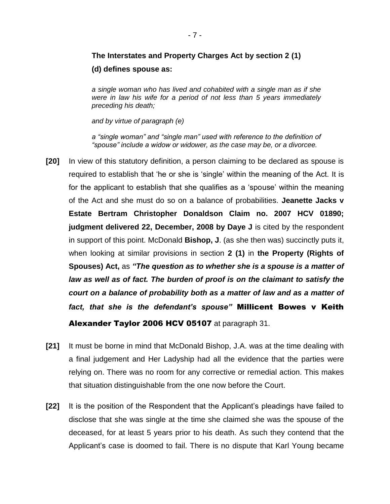# **The Interstates and Property Charges Act by section 2 (1)**

## **(d) defines spouse as:**

*a single woman who has lived and cohabited with a single man as if she were in law his wife for a period of not less than 5 years immediately preceding his death;* 

*and by virtue of paragraph (e)*

*a "single woman" and "single man" used with reference to the definition of "spouse" include a widow or widower, as the case may be, or a divorcee.*

- **[20]** In view of this statutory definition, a person claiming to be declared as spouse is required to establish that 'he or she is 'single' within the meaning of the Act. It is for the applicant to establish that she qualifies as a 'spouse' within the meaning of the Act and she must do so on a balance of probabilities. **Jeanette Jacks v Estate Bertram Christopher Donaldson Claim no. 2007 HCV 01890; judgment delivered 22, December, 2008 by Daye J** is cited by the respondent in support of this point. McDonald **Bishop, J**. (as she then was) succinctly puts it, when looking at similar provisions in section **2 (1)** in **the Property (Rights of Spouses) Act,** as *"The question as to whether she is a spouse is a matter of law as well as of fact. The burden of proof is on the claimant to satisfy the court on a balance of probability both as a matter of law and as a matter of fact, that she is the defendant's spouse"* Millicent Bowes v Keith Alexander Taylor 2006 HCV 05107 at paragraph 31.
- **[21]** It must be borne in mind that McDonald Bishop, J.A. was at the time dealing with a final judgement and Her Ladyship had all the evidence that the parties were relying on. There was no room for any corrective or remedial action. This makes that situation distinguishable from the one now before the Court.
- **[22]** It is the position of the Respondent that the Applicant's pleadings have failed to disclose that she was single at the time she claimed she was the spouse of the deceased, for at least 5 years prior to his death. As such they contend that the Applicant's case is doomed to fail. There is no dispute that Karl Young became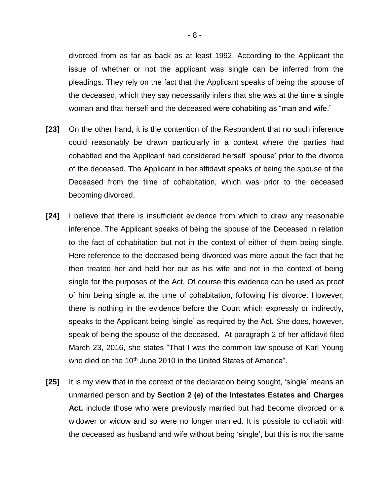divorced from as far as back as at least 1992. According to the Applicant the issue of whether or not the applicant was single can be inferred from the pleadings. They rely on the fact that the Applicant speaks of being the spouse of the deceased, which they say necessarily infers that she was at the time a single woman and that herself and the deceased were cohabiting as "man and wife."

- **[23]** On the other hand, it is the contention of the Respondent that no such inference could reasonably be drawn particularly in a context where the parties had cohabited and the Applicant had considered herself 'spouse' prior to the divorce of the deceased. The Applicant in her affidavit speaks of being the spouse of the Deceased from the time of cohabitation, which was prior to the deceased becoming divorced.
- **[24]** I believe that there is insufficient evidence from which to draw any reasonable inference. The Applicant speaks of being the spouse of the Deceased in relation to the fact of cohabitation but not in the context of either of them being single. Here reference to the deceased being divorced was more about the fact that he then treated her and held her out as his wife and not in the context of being single for the purposes of the Act. Of course this evidence can be used as proof of him being single at the time of cohabitation, following his divorce. However, there is nothing in the evidence before the Court which expressly or indirectly, speaks to the Applicant being 'single' as required by the Act. She does, however, speak of being the spouse of the deceased. At paragraph 2 of her affidavit filed March 23, 2016, she states "That I was the common law spouse of Karl Young who died on the 10<sup>th</sup> June 2010 in the United States of America".
- **[25]** It is my view that in the context of the declaration being sought, 'single' means an unmarried person and by **Section 2 (e) of the Intestates Estates and Charges Act,** include those who were previously married but had become divorced or a widower or widow and so were no longer married. It is possible to cohabit with the deceased as husband and wife without being 'single', but this is not the same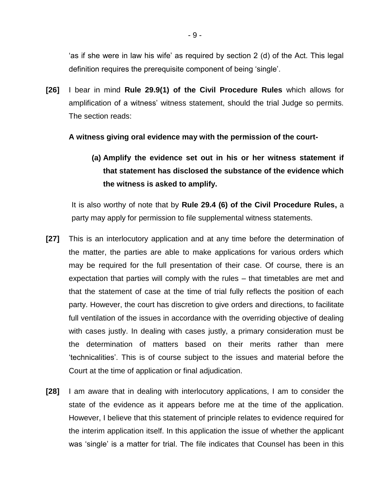'as if she were in law his wife' as required by section 2 (d) of the Act. This legal definition requires the prerequisite component of being 'single'.

**[26]** I bear in mind **Rule 29.9(1) of the Civil Procedure Rules** which allows for amplification of a witness' witness statement, should the trial Judge so permits. The section reads:

**A witness giving oral evidence may with the permission of the court-**

**(a) Amplify the evidence set out in his or her witness statement if that statement has disclosed the substance of the evidence which the witness is asked to amplify.**

It is also worthy of note that by **Rule 29.4 (6) of the Civil Procedure Rules,** a party may apply for permission to file supplemental witness statements.

- **[27]** This is an interlocutory application and at any time before the determination of the matter, the parties are able to make applications for various orders which may be required for the full presentation of their case. Of course, there is an expectation that parties will comply with the rules – that timetables are met and that the statement of case at the time of trial fully reflects the position of each party. However, the court has discretion to give orders and directions, to facilitate full ventilation of the issues in accordance with the overriding objective of dealing with cases justly. In dealing with cases justly, a primary consideration must be the determination of matters based on their merits rather than mere 'technicalities'. This is of course subject to the issues and material before the Court at the time of application or final adjudication.
- **[28]** I am aware that in dealing with interlocutory applications, I am to consider the state of the evidence as it appears before me at the time of the application. However, I believe that this statement of principle relates to evidence required for the interim application itself. In this application the issue of whether the applicant was 'single' is a matter for trial. The file indicates that Counsel has been in this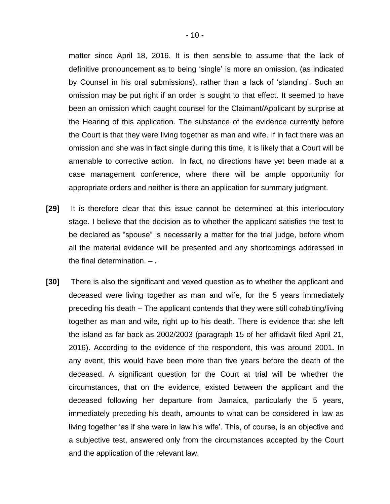matter since April 18, 2016. It is then sensible to assume that the lack of definitive pronouncement as to being 'single' is more an omission, (as indicated by Counsel in his oral submissions), rather than a lack of 'standing'. Such an omission may be put right if an order is sought to that effect. It seemed to have been an omission which caught counsel for the Claimant/Applicant by surprise at the Hearing of this application. The substance of the evidence currently before the Court is that they were living together as man and wife. If in fact there was an omission and she was in fact single during this time, it is likely that a Court will be amenable to corrective action. In fact, no directions have yet been made at a case management conference, where there will be ample opportunity for appropriate orders and neither is there an application for summary judgment.

- **[29]** It is therefore clear that this issue cannot be determined at this interlocutory stage. I believe that the decision as to whether the applicant satisfies the test to be declared as "spouse" is necessarily a matter for the trial judge, before whom all the material evidence will be presented and any shortcomings addressed in the final determination. – **.**
- **[30]** There is also the significant and vexed question as to whether the applicant and deceased were living together as man and wife, for the 5 years immediately preceding his death – The applicant contends that they were still cohabiting/living together as man and wife, right up to his death. There is evidence that she left the island as far back as 2002/2003 (paragraph 15 of her affidavit filed April 21, 2016). According to the evidence of the respondent, this was around 2001**.** In any event, this would have been more than five years before the death of the deceased. A significant question for the Court at trial will be whether the circumstances, that on the evidence, existed between the applicant and the deceased following her departure from Jamaica, particularly the 5 years, immediately preceding his death, amounts to what can be considered in law as living together 'as if she were in law his wife'. This, of course, is an objective and a subjective test, answered only from the circumstances accepted by the Court and the application of the relevant law.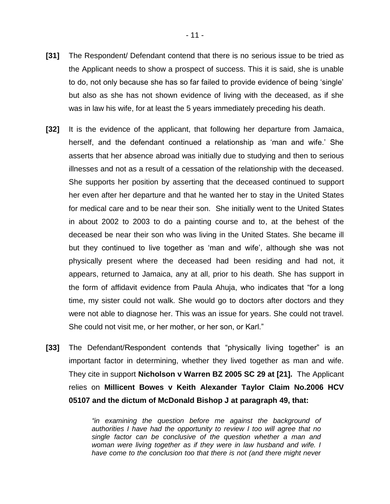- **[31]** The Respondent/ Defendant contend that there is no serious issue to be tried as the Applicant needs to show a prospect of success. This it is said, she is unable to do, not only because she has so far failed to provide evidence of being 'single' but also as she has not shown evidence of living with the deceased, as if she was in law his wife, for at least the 5 years immediately preceding his death.
- **[32]** It is the evidence of the applicant, that following her departure from Jamaica, herself, and the defendant continued a relationship as 'man and wife.' She asserts that her absence abroad was initially due to studying and then to serious illnesses and not as a result of a cessation of the relationship with the deceased. She supports her position by asserting that the deceased continued to support her even after her departure and that he wanted her to stay in the United States for medical care and to be near their son. She initially went to the United States in about 2002 to 2003 to do a painting course and to, at the behest of the deceased be near their son who was living in the United States. She became ill but they continued to live together as 'man and wife', although she was not physically present where the deceased had been residing and had not, it appears, returned to Jamaica, any at all, prior to his death. She has support in the form of affidavit evidence from Paula Ahuja, who indicates that "for a long time, my sister could not walk. She would go to doctors after doctors and they were not able to diagnose her. This was an issue for years. She could not travel. She could not visit me, or her mother, or her son, or Karl."
- **[33]** The Defendant/Respondent contends that "physically living together" is an important factor in determining, whether they lived together as man and wife. They cite in support **Nicholson v Warren BZ 2005 SC 29 at [21].** The Applicant relies on **Millicent Bowes v Keith Alexander Taylor Claim No.2006 HCV 05107 and the dictum of McDonald Bishop J at paragraph 49, that:**

*"in examining the question before me against the background of authorities I have had the opportunity to review I too will agree that no single factor can be conclusive of the question whether a man and woman were living together as if they were in law husband and wife. I have come to the conclusion too that there is not (and there might never*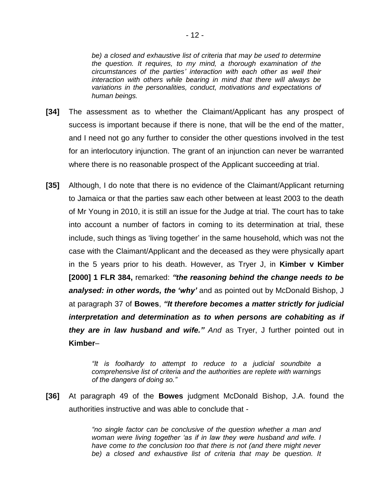*be) a closed and exhaustive list of criteria that may be used to determine the question. It requires, to my mind, a thorough examination of the circumstances of the parties' interaction with each other as well their interaction with others while bearing in mind that there will always be variations in the personalities, conduct, motivations and expectations of human beings.*

- **[34]** The assessment as to whether the Claimant/Applicant has any prospect of success is important because if there is none, that will be the end of the matter, and I need not go any further to consider the other questions involved in the test for an interlocutory injunction. The grant of an injunction can never be warranted where there is no reasonable prospect of the Applicant succeeding at trial.
- **[35]** Although, I do note that there is no evidence of the Claimant/Applicant returning to Jamaica or that the parties saw each other between at least 2003 to the death of Mr Young in 2010, it is still an issue for the Judge at trial. The court has to take into account a number of factors in coming to its determination at trial, these include, such things as 'living together' in the same household, which was not the case with the Claimant/Applicant and the deceased as they were physically apart in the 5 years prior to his death. However, as Tryer J, in **Kimber v Kimber [2000] 1 FLR 384,** remarked: *"the reasoning behind the change needs to be analysed: in other words, the 'why'* and as pointed out by McDonald Bishop, J at paragraph 37 of **Bowes**, *"It therefore becomes a matter strictly for judicial interpretation and determination as to when persons are cohabiting as if they are in law husband and wife." And* as Tryer, J further pointed out in **Kimber**–

*"It is foolhardy to attempt to reduce to a judicial soundbite a comprehensive list of criteria and the authorities are replete with warnings of the dangers of doing so."*

**[36]** At paragraph 49 of the **Bowes** judgment McDonald Bishop, J.A. found the authorities instructive and was able to conclude that -

> *"no single factor can be conclusive of the question whether a man and woman were living together 'as if in law they were husband and wife. I have come to the conclusion too that there is not (and there might never*  be) a closed and exhaustive list of criteria that may be question. It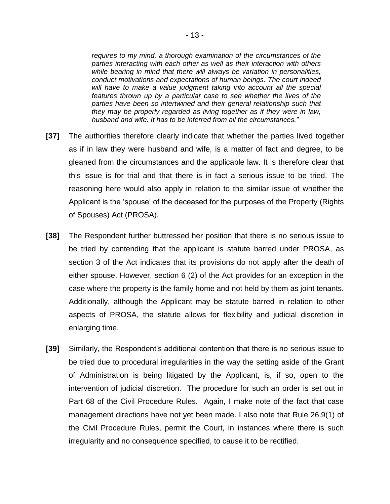*requires to my mind, a thorough examination of the circumstances of the parties interacting with each other as well as their interaction with others while bearing in mind that there will always be variation in personalities, conduct motivations and expectations of human beings. The court indeed*  will have to make a value judgment taking into account all the special *features thrown up by a particular case to see whether the lives of the parties have been so intertwined and their general relationship such that they may be properly regarded as living together as if they were in law, husband and wife. It has to be inferred from all the circumstances."*

- **[37]** The authorities therefore clearly indicate that whether the parties lived together as if in law they were husband and wife, is a matter of fact and degree, to be gleaned from the circumstances and the applicable law. It is therefore clear that this issue is for trial and that there is in fact a serious issue to be tried. The reasoning here would also apply in relation to the similar issue of whether the Applicant is the 'spouse' of the deceased for the purposes of the Property (Rights of Spouses) Act (PROSA).
- **[38]** The Respondent further buttressed her position that there is no serious issue to be tried by contending that the applicant is statute barred under PROSA, as section 3 of the Act indicates that its provisions do not apply after the death of either spouse. However, section 6 (2) of the Act provides for an exception in the case where the property is the family home and not held by them as joint tenants. Additionally, although the Applicant may be statute barred in relation to other aspects of PROSA, the statute allows for flexibility and judicial discretion in enlarging time.
- **[39]** Similarly, the Respondent's additional contention that there is no serious issue to be tried due to procedural irregularities in the way the setting aside of the Grant of Administration is being litigated by the Applicant, is, if so, open to the intervention of judicial discretion. The procedure for such an order is set out in Part 68 of the Civil Procedure Rules. Again, I make note of the fact that case management directions have not yet been made. I also note that Rule 26.9(1) of the Civil Procedure Rules, permit the Court, in instances where there is such irregularity and no consequence specified, to cause it to be rectified.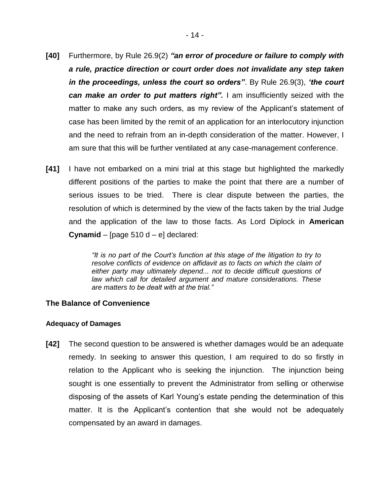- **[40]** Furthermore, by Rule 26.9(2) *"an error of procedure or failure to comply with a rule, practice direction or court order does not invalidate any step taken in the proceedings, unless the court so orders"*. By Rule 26.9(3), *'the court can make an order to put matters right".* I am insufficiently seized with the matter to make any such orders, as my review of the Applicant's statement of case has been limited by the remit of an application for an interlocutory injunction and the need to refrain from an in-depth consideration of the matter. However, I am sure that this will be further ventilated at any case-management conference.
- **[41]** I have not embarked on a mini trial at this stage but highlighted the markedly different positions of the parties to make the point that there are a number of serious issues to be tried. There is clear dispute between the parties, the resolution of which is determined by the view of the facts taken by the trial Judge and the application of the law to those facts. As Lord Diplock in **American Cynamid** – [page 510 d – e] declared:

*"It is no part of the Court's function at this stage of the litigation to try to resolve conflicts of evidence on affidavit as to facts on which the claim of either party may ultimately depend... not to decide difficult questions of law which call for detailed argument and mature considerations. These are matters to be dealt with at the trial."*

### **The Balance of Convenience**

#### **Adequacy of Damages**

**[42]** The second question to be answered is whether damages would be an adequate remedy. In seeking to answer this question, I am required to do so firstly in relation to the Applicant who is seeking the injunction. The injunction being sought is one essentially to prevent the Administrator from selling or otherwise disposing of the assets of Karl Young's estate pending the determination of this matter. It is the Applicant's contention that she would not be adequately compensated by an award in damages.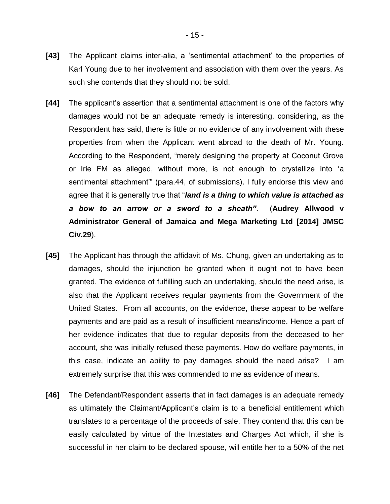- **[43]** The Applicant claims inter-alia, a 'sentimental attachment' to the properties of Karl Young due to her involvement and association with them over the years. As such she contends that they should not be sold.
- **[44]** The applicant's assertion that a sentimental attachment is one of the factors why damages would not be an adequate remedy is interesting, considering, as the Respondent has said, there is little or no evidence of any involvement with these properties from when the Applicant went abroad to the death of Mr. Young. According to the Respondent, "merely designing the property at Coconut Grove or Irie FM as alleged, without more, is not enough to crystallize into 'a sentimental attachment'" (para.44, of submissions). I fully endorse this view and agree that it is generally true that "*land is a thing to which value is attached as a bow to an arrow or a sword to a sheath"*. (**Audrey Allwood v Administrator General of Jamaica and Mega Marketing Ltd [2014] JMSC Civ.29**).
- **[45]** The Applicant has through the affidavit of Ms. Chung, given an undertaking as to damages, should the injunction be granted when it ought not to have been granted. The evidence of fulfilling such an undertaking, should the need arise, is also that the Applicant receives regular payments from the Government of the United States. From all accounts, on the evidence, these appear to be welfare payments and are paid as a result of insufficient means/income. Hence a part of her evidence indicates that due to regular deposits from the deceased to her account, she was initially refused these payments. How do welfare payments, in this case, indicate an ability to pay damages should the need arise? I am extremely surprise that this was commended to me as evidence of means.
- **[46]** The Defendant/Respondent asserts that in fact damages is an adequate remedy as ultimately the Claimant/Applicant's claim is to a beneficial entitlement which translates to a percentage of the proceeds of sale. They contend that this can be easily calculated by virtue of the Intestates and Charges Act which, if she is successful in her claim to be declared spouse, will entitle her to a 50% of the net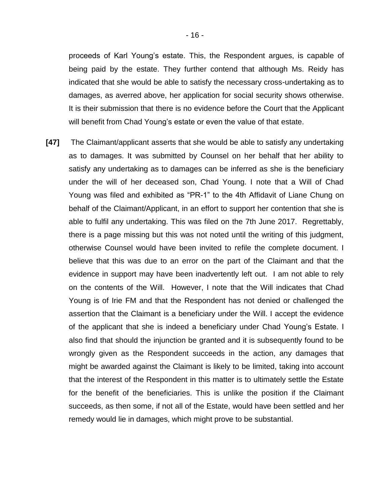proceeds of Karl Young's estate. This, the Respondent argues, is capable of being paid by the estate. They further contend that although Ms. Reidy has indicated that she would be able to satisfy the necessary cross-undertaking as to damages, as averred above, her application for social security shows otherwise. It is their submission that there is no evidence before the Court that the Applicant will benefit from Chad Young's estate or even the value of that estate.

**[47]** The Claimant/applicant asserts that she would be able to satisfy any undertaking as to damages. It was submitted by Counsel on her behalf that her ability to satisfy any undertaking as to damages can be inferred as she is the beneficiary under the will of her deceased son, Chad Young. I note that a Will of Chad Young was filed and exhibited as "PR-1" to the 4th Affidavit of Liane Chung on behalf of the Claimant/Applicant, in an effort to support her contention that she is able to fulfil any undertaking. This was filed on the 7th June 2017. Regrettably, there is a page missing but this was not noted until the writing of this judgment, otherwise Counsel would have been invited to refile the complete document. I believe that this was due to an error on the part of the Claimant and that the evidence in support may have been inadvertently left out. I am not able to rely on the contents of the Will. However, I note that the Will indicates that Chad Young is of Irie FM and that the Respondent has not denied or challenged the assertion that the Claimant is a beneficiary under the Will. I accept the evidence of the applicant that she is indeed a beneficiary under Chad Young's Estate. I also find that should the injunction be granted and it is subsequently found to be wrongly given as the Respondent succeeds in the action, any damages that might be awarded against the Claimant is likely to be limited, taking into account that the interest of the Respondent in this matter is to ultimately settle the Estate for the benefit of the beneficiaries. This is unlike the position if the Claimant succeeds, as then some, if not all of the Estate, would have been settled and her remedy would lie in damages, which might prove to be substantial.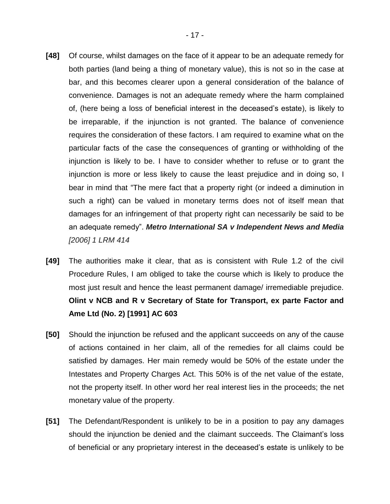- **[48]** Of course, whilst damages on the face of it appear to be an adequate remedy for both parties (land being a thing of monetary value), this is not so in the case at bar, and this becomes clearer upon a general consideration of the balance of convenience. Damages is not an adequate remedy where the harm complained of, (here being a loss of beneficial interest in the deceased's estate), is likely to be irreparable, if the injunction is not granted. The balance of convenience requires the consideration of these factors. I am required to examine what on the particular facts of the case the consequences of granting or withholding of the injunction is likely to be. I have to consider whether to refuse or to grant the injunction is more or less likely to cause the least prejudice and in doing so, I bear in mind that "The mere fact that a property right (or indeed a diminution in such a right) can be valued in monetary terms does not of itself mean that damages for an infringement of that property right can necessarily be said to be an adequate remedy". *Metro International SA v Independent News and Media [2006] 1 LRM 414*
- **[49]** The authorities make it clear, that as is consistent with Rule 1.2 of the civil Procedure Rules, I am obliged to take the course which is likely to produce the most just result and hence the least permanent damage/ irremediable prejudice. **Olint v NCB and R v Secretary of State for Transport, ex parte Factor and Ame Ltd (No. 2) [1991] AC 603**
- **[50]** Should the injunction be refused and the applicant succeeds on any of the cause of actions contained in her claim, all of the remedies for all claims could be satisfied by damages. Her main remedy would be 50% of the estate under the Intestates and Property Charges Act. This 50% is of the net value of the estate, not the property itself. In other word her real interest lies in the proceeds; the net monetary value of the property.
- **[51]** The Defendant/Respondent is unlikely to be in a position to pay any damages should the injunction be denied and the claimant succeeds. The Claimant's loss of beneficial or any proprietary interest in the deceased's estate is unlikely to be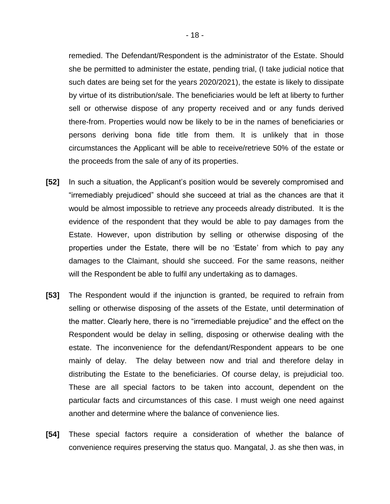remedied. The Defendant/Respondent is the administrator of the Estate. Should she be permitted to administer the estate, pending trial, (I take judicial notice that such dates are being set for the years 2020/2021), the estate is likely to dissipate by virtue of its distribution/sale. The beneficiaries would be left at liberty to further sell or otherwise dispose of any property received and or any funds derived there-from. Properties would now be likely to be in the names of beneficiaries or persons deriving bona fide title from them. It is unlikely that in those circumstances the Applicant will be able to receive/retrieve 50% of the estate or the proceeds from the sale of any of its properties.

- **[52]** In such a situation, the Applicant's position would be severely compromised and "irremediably prejudiced" should she succeed at trial as the chances are that it would be almost impossible to retrieve any proceeds already distributed. It is the evidence of the respondent that they would be able to pay damages from the Estate. However, upon distribution by selling or otherwise disposing of the properties under the Estate, there will be no 'Estate' from which to pay any damages to the Claimant, should she succeed. For the same reasons, neither will the Respondent be able to fulfil any undertaking as to damages.
- **[53]** The Respondent would if the injunction is granted, be required to refrain from selling or otherwise disposing of the assets of the Estate, until determination of the matter. Clearly here, there is no "irremediable prejudice" and the effect on the Respondent would be delay in selling, disposing or otherwise dealing with the estate. The inconvenience for the defendant/Respondent appears to be one mainly of delay. The delay between now and trial and therefore delay in distributing the Estate to the beneficiaries. Of course delay, is prejudicial too. These are all special factors to be taken into account, dependent on the particular facts and circumstances of this case. I must weigh one need against another and determine where the balance of convenience lies.
- **[54]** These special factors require a consideration of whether the balance of convenience requires preserving the status quo. Mangatal, J. as she then was, in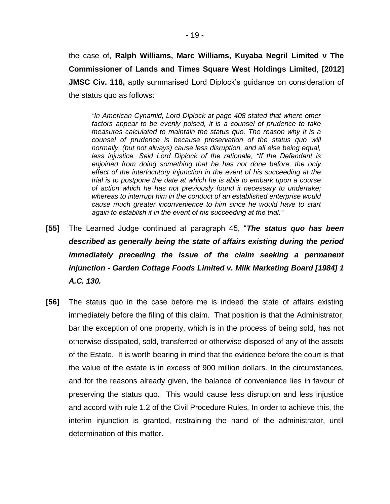the case of, **Ralph Williams, Marc Williams, Kuyaba Negril Limited v The Commissioner of Lands and Times Square West Holdings Limited**, **[2012] JMSC Civ. 118,** aptly summarised Lord Diplock's guidance on consideration of the status quo as follows:

*"In American Cynamid, Lord Diplock at page 408 stated that where other factors appear to be evenly poised, it is a counsel of prudence to take measures calculated to maintain the status quo. The reason why it is a counsel of prudence is because preservation of the status quo will normally, (but not always) cause less disruption, and all else being equal, less injustice. Said Lord Diplock of the rationale, "If the Defendant is enjoined from doing something that he has not done before, the only effect of the interlocutory injunction in the event of his succeeding at the trial is to postpone the date at which he is able to embark upon a course of action which he has not previously found it necessary to undertake; whereas to interrupt him in the conduct of an established enterprise would cause much greater inconvenience to him since he would have to start again to establish it in the event of his succeeding at the trial."* 

- **[55]** The Learned Judge continued at paragraph 45, "*The status quo has been described as generally being the state of affairs existing during the period immediately preceding the issue of the claim seeking a permanent injunction - Garden Cottage Foods Limited v. Milk Marketing Board [1984] 1 A.C. 130.*
- **[56]** The status quo in the case before me is indeed the state of affairs existing immediately before the filing of this claim. That position is that the Administrator, bar the exception of one property, which is in the process of being sold, has not otherwise dissipated, sold, transferred or otherwise disposed of any of the assets of the Estate. It is worth bearing in mind that the evidence before the court is that the value of the estate is in excess of 900 million dollars. In the circumstances, and for the reasons already given, the balance of convenience lies in favour of preserving the status quo. This would cause less disruption and less injustice and accord with rule 1.2 of the Civil Procedure Rules. In order to achieve this, the interim injunction is granted, restraining the hand of the administrator, until determination of this matter.